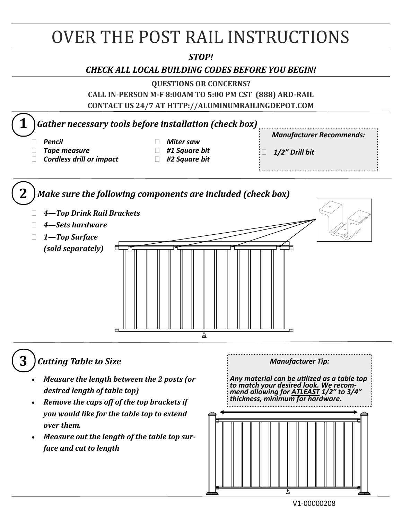# OVER THE POST RAIL INSTRUCTIONS

#### *STOP!*

#### *CHECK ALL LOCAL BUILDING CODES BEFORE YOU BEGIN!*

**QUESTIONS OR CONCERNS?** 

**CALL IN-PERSON M-F 8:00AM TO 5:00 PM CST (888) ARD-RAIL CONTACT US 24/7 AT HTTP://ALUMINUMRAILINGDEPOT.COM** 



## **3** *Cutting Table to Size*

- *Measure the length between the 2 posts (or desired length of table top)*
- *Remove the caps off of the top brackets if you would like for the table top to extend over them.*
- *Measure out the length of the table top surface and cut to length*

*Manufacturer Tip: Any material can be utilized as a table top to match your desired look. We recommend allowing for ATLEAST 1/2" to 3/4" thickness, minimum for hardware.*

V1-00000208